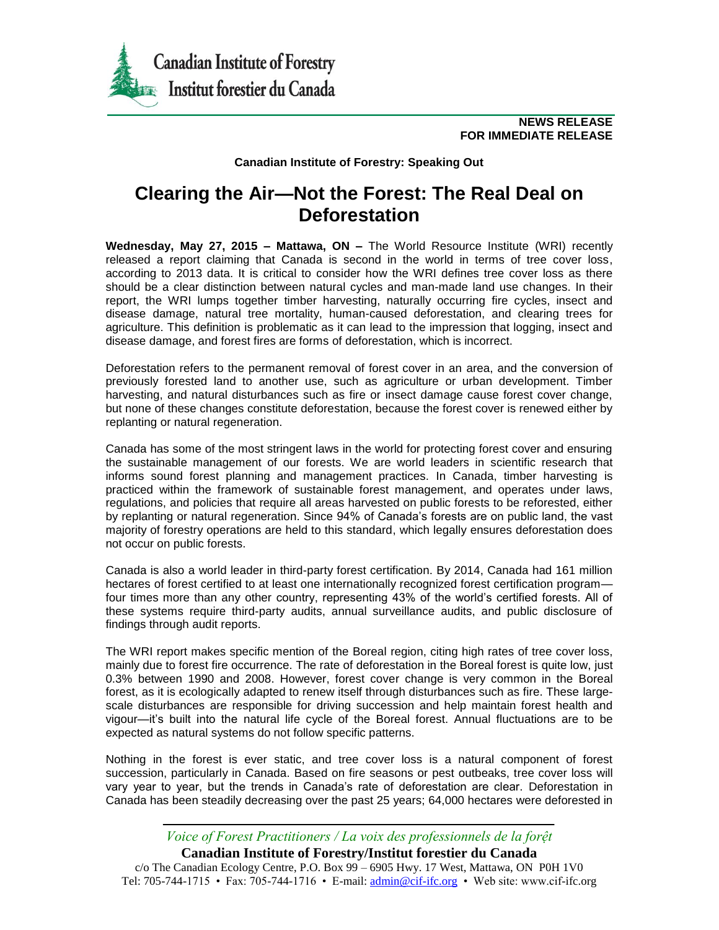

**NEWS RELEASE FOR IMMEDIATE RELEASE**

**Canadian Institute of Forestry: Speaking Out**

## **Clearing the Air—Not the Forest: The Real Deal on Deforestation**

**Wednesday, May 27, 2015 – Mattawa, ON –** The World Resource Institute (WRI) recently released a report claiming that Canada is second in the world in terms of tree cover loss, according to 2013 data. It is critical to consider how the WRI defines tree cover loss as there should be a clear distinction between natural cycles and man-made land use changes. In their report, the WRI lumps together timber harvesting, naturally occurring fire cycles, insect and disease damage, natural tree mortality, human-caused deforestation, and clearing trees for agriculture. This definition is problematic as it can lead to the impression that logging, insect and disease damage, and forest fires are forms of deforestation, which is incorrect.

Deforestation refers to the permanent removal of forest cover in an area, and the conversion of previously forested land to another use, such as agriculture or urban development. Timber harvesting, and natural disturbances such as fire or insect damage cause forest cover change, but none of these changes constitute deforestation, because the forest cover is renewed either by replanting or natural regeneration.

Canada has some of the most stringent laws in the world for protecting forest cover and ensuring the sustainable management of our forests. We are world leaders in scientific research that informs sound forest planning and management practices. In Canada, timber harvesting is practiced within the framework of sustainable forest management, and operates under laws, regulations, and policies that require all areas harvested on public forests to be reforested, either by replanting or natural regeneration. Since 94% of Canada's forests are on public land, the vast majority of forestry operations are held to this standard, which legally ensures deforestation does not occur on public forests.

Canada is also a world leader in third-party forest certification. By 2014, Canada had 161 million hectares of forest certified to at least one internationally recognized forest certification program four times more than any other country, representing 43% of the world's certified forests. All of these systems require third-party audits, annual surveillance audits, and public disclosure of findings through audit reports.

The WRI report makes specific mention of the Boreal region, citing high rates of tree cover loss, mainly due to forest fire occurrence. The rate of deforestation in the Boreal forest is quite low, just 0.3% between 1990 and 2008. However, forest cover change is very common in the Boreal forest, as it is ecologically adapted to renew itself through disturbances such as fire. These largescale disturbances are responsible for driving succession and help maintain forest health and vigour—it's built into the natural life cycle of the Boreal forest. Annual fluctuations are to be expected as natural systems do not follow specific patterns.

Nothing in the forest is ever static, and tree cover loss is a natural component of forest succession, particularly in Canada. Based on fire seasons or pest outbeaks, tree cover loss will vary year to year, but the trends in Canada's rate of deforestation are clear. Deforestation in Canada has been steadily decreasing over the past 25 years; 64,000 hectares were deforested in

*Voice of Forest Practitioners / La voix des professionnels de la forệt* **Canadian Institute of Forestry/Institut forestier du Canada** c/o The Canadian Ecology Centre, P.O. Box 99 – 6905 Hwy. 17 West, Mattawa, ON P0H 1V0 Tel: 705-744-1715 • Fax: 705-744-1716 • E-mail: admin@cif-ifc.org • Web site: www.cif-ifc.org